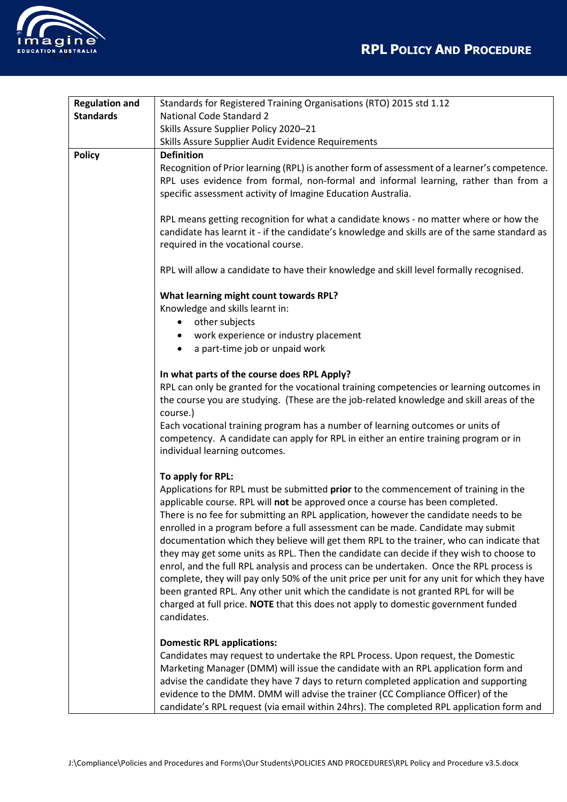

| <b>Regulation and</b> | Standards for Registered Training Organisations (RTO) 2015 std 1.12                                                                                                                                                                                 |
|-----------------------|-----------------------------------------------------------------------------------------------------------------------------------------------------------------------------------------------------------------------------------------------------|
| <b>Standards</b>      | <b>National Code Standard 2</b>                                                                                                                                                                                                                     |
|                       | Skills Assure Supplier Policy 2020-21                                                                                                                                                                                                               |
|                       | Skills Assure Supplier Audit Evidence Requirements                                                                                                                                                                                                  |
| <b>Policy</b>         | <b>Definition</b>                                                                                                                                                                                                                                   |
|                       | Recognition of Prior learning (RPL) is another form of assessment of a learner's competence.<br>RPL uses evidence from formal, non-formal and informal learning, rather than from a<br>specific assessment activity of Imagine Education Australia. |
|                       | RPL means getting recognition for what a candidate knows - no matter where or how the<br>candidate has learnt it - if the candidate's knowledge and skills are of the same standard as<br>required in the vocational course.                        |
|                       | RPL will allow a candidate to have their knowledge and skill level formally recognised.                                                                                                                                                             |
|                       | What learning might count towards RPL?                                                                                                                                                                                                              |
|                       | Knowledge and skills learnt in:                                                                                                                                                                                                                     |
|                       | other subjects                                                                                                                                                                                                                                      |
|                       | work experience or industry placement                                                                                                                                                                                                               |
|                       | a part-time job or unpaid work                                                                                                                                                                                                                      |
|                       |                                                                                                                                                                                                                                                     |
|                       | In what parts of the course does RPL Apply?                                                                                                                                                                                                         |
|                       | RPL can only be granted for the vocational training competencies or learning outcomes in                                                                                                                                                            |
|                       | the course you are studying. (These are the job-related knowledge and skill areas of the                                                                                                                                                            |
|                       | course.)                                                                                                                                                                                                                                            |
|                       | Each vocational training program has a number of learning outcomes or units of                                                                                                                                                                      |
|                       | competency. A candidate can apply for RPL in either an entire training program or in                                                                                                                                                                |
|                       | individual learning outcomes.                                                                                                                                                                                                                       |
|                       |                                                                                                                                                                                                                                                     |
|                       | To apply for RPL:                                                                                                                                                                                                                                   |
|                       | Applications for RPL must be submitted prior to the commencement of training in the                                                                                                                                                                 |
|                       | applicable course. RPL will not be approved once a course has been completed.                                                                                                                                                                       |
|                       | There is no fee for submitting an RPL application, however the candidate needs to be                                                                                                                                                                |
|                       | enrolled in a program before a full assessment can be made. Candidate may submit<br>documentation which they believe will get them RPL to the trainer, who can indicate that                                                                        |
|                       | they may get some units as RPL. Then the candidate can decide if they wish to choose to                                                                                                                                                             |
|                       | enrol, and the full RPL analysis and process can be undertaken. Once the RPL process is                                                                                                                                                             |
|                       | complete, they will pay only 50% of the unit price per unit for any unit for which they have                                                                                                                                                        |
|                       | been granted RPL. Any other unit which the candidate is not granted RPL for will be                                                                                                                                                                 |
|                       | charged at full price. NOTE that this does not apply to domestic government funded                                                                                                                                                                  |
|                       | candidates.                                                                                                                                                                                                                                         |
|                       |                                                                                                                                                                                                                                                     |
|                       | <b>Domestic RPL applications:</b>                                                                                                                                                                                                                   |
|                       | Candidates may request to undertake the RPL Process. Upon request, the Domestic                                                                                                                                                                     |
|                       | Marketing Manager (DMM) will issue the candidate with an RPL application form and                                                                                                                                                                   |
|                       | advise the candidate they have 7 days to return completed application and supporting                                                                                                                                                                |
|                       | evidence to the DMM. DMM will advise the trainer (CC Compliance Officer) of the                                                                                                                                                                     |
|                       | candidate's RPL request (via email within 24hrs). The completed RPL application form and                                                                                                                                                            |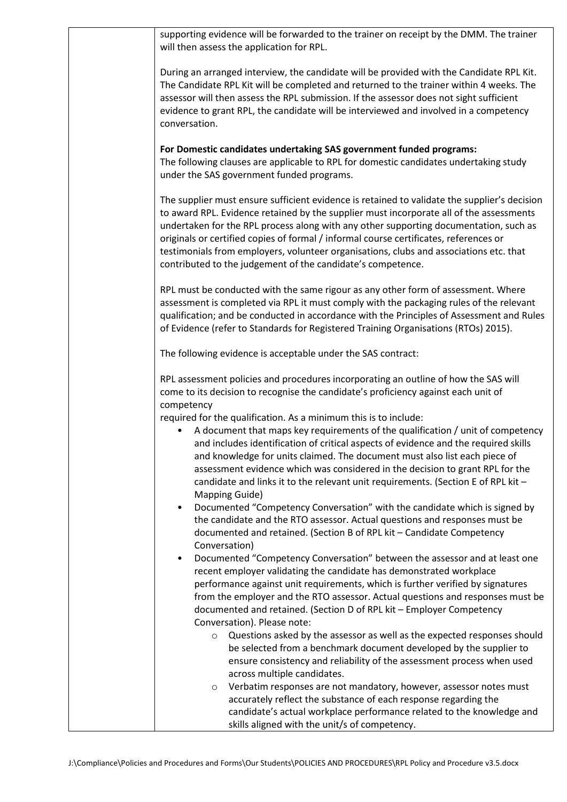| supporting evidence will be forwarded to the trainer on receipt by the DMM. The trainer<br>will then assess the application for RPL.                                                                                                                                                                                                                                                                                                                                                                                               |
|------------------------------------------------------------------------------------------------------------------------------------------------------------------------------------------------------------------------------------------------------------------------------------------------------------------------------------------------------------------------------------------------------------------------------------------------------------------------------------------------------------------------------------|
| During an arranged interview, the candidate will be provided with the Candidate RPL Kit.<br>The Candidate RPL Kit will be completed and returned to the trainer within 4 weeks. The<br>assessor will then assess the RPL submission. If the assessor does not sight sufficient<br>evidence to grant RPL, the candidate will be interviewed and involved in a competency<br>conversation.                                                                                                                                           |
| For Domestic candidates undertaking SAS government funded programs:<br>The following clauses are applicable to RPL for domestic candidates undertaking study<br>under the SAS government funded programs.                                                                                                                                                                                                                                                                                                                          |
| The supplier must ensure sufficient evidence is retained to validate the supplier's decision<br>to award RPL. Evidence retained by the supplier must incorporate all of the assessments<br>undertaken for the RPL process along with any other supporting documentation, such as<br>originals or certified copies of formal / informal course certificates, references or<br>testimonials from employers, volunteer organisations, clubs and associations etc. that<br>contributed to the judgement of the candidate's competence. |
| RPL must be conducted with the same rigour as any other form of assessment. Where<br>assessment is completed via RPL it must comply with the packaging rules of the relevant<br>qualification; and be conducted in accordance with the Principles of Assessment and Rules<br>of Evidence (refer to Standards for Registered Training Organisations (RTOs) 2015).                                                                                                                                                                   |
| The following evidence is acceptable under the SAS contract:                                                                                                                                                                                                                                                                                                                                                                                                                                                                       |
| RPL assessment policies and procedures incorporating an outline of how the SAS will<br>come to its decision to recognise the candidate's proficiency against each unit of                                                                                                                                                                                                                                                                                                                                                          |
| competency<br>required for the qualification. As a minimum this is to include:<br>A document that maps key requirements of the qualification / unit of competency<br>and includes identification of critical aspects of evidence and the required skills<br>and knowledge for units claimed. The document must also list each piece of<br>assessment evidence which was considered in the decision to grant RPL for the<br>candidate and links it to the relevant unit requirements. (Section E of RPL kit -                       |
| Mapping Guide)<br>Documented "Competency Conversation" with the candidate which is signed by<br>$\bullet$<br>the candidate and the RTO assessor. Actual questions and responses must be<br>documented and retained. (Section B of RPL kit - Candidate Competency<br>Conversation)                                                                                                                                                                                                                                                  |
| Documented "Competency Conversation" between the assessor and at least one<br>$\bullet$<br>recent employer validating the candidate has demonstrated workplace<br>performance against unit requirements, which is further verified by signatures<br>from the employer and the RTO assessor. Actual questions and responses must be<br>documented and retained. (Section D of RPL kit - Employer Competency<br>Conversation). Please note:                                                                                          |
| Questions asked by the assessor as well as the expected responses should<br>$\circ$<br>be selected from a benchmark document developed by the supplier to<br>ensure consistency and reliability of the assessment process when used<br>across multiple candidates.                                                                                                                                                                                                                                                                 |
| Verbatim responses are not mandatory, however, assessor notes must<br>$\circ$<br>accurately reflect the substance of each response regarding the<br>candidate's actual workplace performance related to the knowledge and<br>skills aligned with the unit/s of competency.                                                                                                                                                                                                                                                         |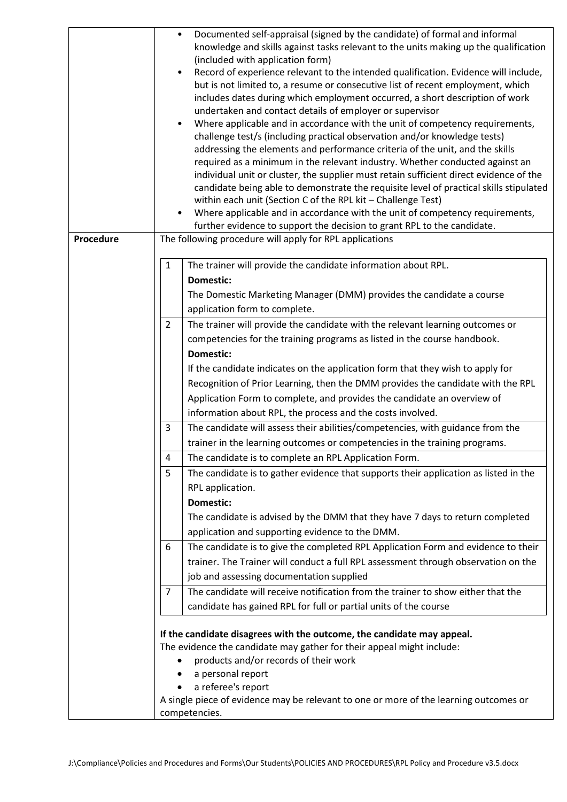|           | Documented self-appraisal (signed by the candidate) of formal and informal                                                                                             |
|-----------|------------------------------------------------------------------------------------------------------------------------------------------------------------------------|
|           | knowledge and skills against tasks relevant to the units making up the qualification                                                                                   |
|           | (included with application form)                                                                                                                                       |
|           | Record of experience relevant to the intended qualification. Evidence will include,<br>$\bullet$                                                                       |
|           | but is not limited to, a resume or consecutive list of recent employment, which                                                                                        |
|           | includes dates during which employment occurred, a short description of work                                                                                           |
|           | undertaken and contact details of employer or supervisor                                                                                                               |
|           | Where applicable and in accordance with the unit of competency requirements,                                                                                           |
|           | challenge test/s (including practical observation and/or knowledge tests)                                                                                              |
|           | addressing the elements and performance criteria of the unit, and the skills                                                                                           |
|           | required as a minimum in the relevant industry. Whether conducted against an<br>individual unit or cluster, the supplier must retain sufficient direct evidence of the |
|           | candidate being able to demonstrate the requisite level of practical skills stipulated                                                                                 |
|           | within each unit (Section C of the RPL kit - Challenge Test)                                                                                                           |
|           | Where applicable and in accordance with the unit of competency requirements,                                                                                           |
|           | further evidence to support the decision to grant RPL to the candidate.                                                                                                |
| Procedure | The following procedure will apply for RPL applications                                                                                                                |
|           |                                                                                                                                                                        |
|           | $\mathbf{1}$<br>The trainer will provide the candidate information about RPL.                                                                                          |
|           | <b>Domestic:</b>                                                                                                                                                       |
|           | The Domestic Marketing Manager (DMM) provides the candidate a course                                                                                                   |
|           | application form to complete.                                                                                                                                          |
|           | $\overline{2}$<br>The trainer will provide the candidate with the relevant learning outcomes or                                                                        |
|           | competencies for the training programs as listed in the course handbook.                                                                                               |
|           | <b>Domestic:</b>                                                                                                                                                       |
|           | If the candidate indicates on the application form that they wish to apply for                                                                                         |
|           | Recognition of Prior Learning, then the DMM provides the candidate with the RPL                                                                                        |
|           | Application Form to complete, and provides the candidate an overview of                                                                                                |
|           | information about RPL, the process and the costs involved.                                                                                                             |
|           | $\overline{3}$<br>The candidate will assess their abilities/competencies, with guidance from the                                                                       |
|           | trainer in the learning outcomes or competencies in the training programs.                                                                                             |
|           |                                                                                                                                                                        |
|           | The candidate is to complete an RPL Application Form.<br>4                                                                                                             |
|           | 5<br>The candidate is to gather evidence that supports their application as listed in the                                                                              |
|           | RPL application.                                                                                                                                                       |
|           | <b>Domestic:</b>                                                                                                                                                       |
|           | The candidate is advised by the DMM that they have 7 days to return completed                                                                                          |
|           | application and supporting evidence to the DMM.                                                                                                                        |
|           | The candidate is to give the completed RPL Application Form and evidence to their<br>6                                                                                 |
|           | trainer. The Trainer will conduct a full RPL assessment through observation on the                                                                                     |
|           | job and assessing documentation supplied                                                                                                                               |
|           | The candidate will receive notification from the trainer to show either that the<br>7                                                                                  |
|           | candidate has gained RPL for full or partial units of the course                                                                                                       |
|           |                                                                                                                                                                        |
|           | If the candidate disagrees with the outcome, the candidate may appeal.                                                                                                 |
|           | The evidence the candidate may gather for their appeal might include:                                                                                                  |
|           | products and/or records of their work<br>$\bullet$                                                                                                                     |
|           | a personal report                                                                                                                                                      |
|           | a referee's report                                                                                                                                                     |
|           | A single piece of evidence may be relevant to one or more of the learning outcomes or                                                                                  |
|           | competencies.                                                                                                                                                          |